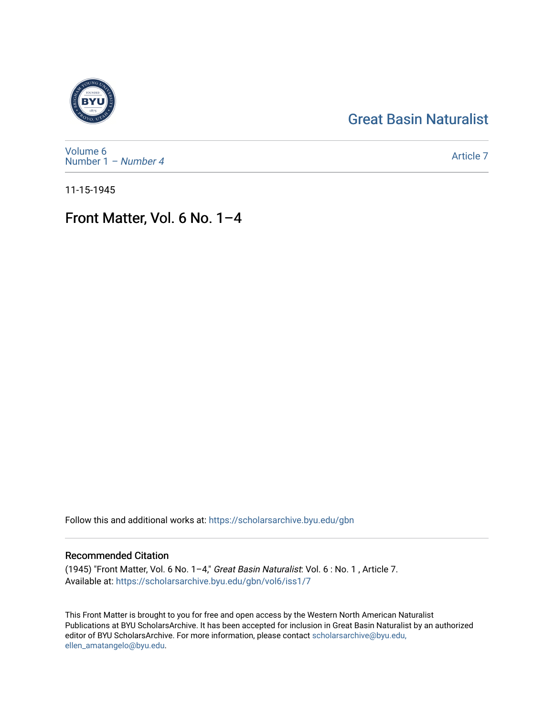# [Great Basin Naturalist](https://scholarsarchive.byu.edu/gbn)



[Volume 6](https://scholarsarchive.byu.edu/gbn/vol6) [Number 1](https://scholarsarchive.byu.edu/gbn/vol6/iss1) – Number 4

[Article 7](https://scholarsarchive.byu.edu/gbn/vol6/iss1/7) 

11-15-1945

## Front Matter, Vol. 6 No. 1–4

Follow this and additional works at: [https://scholarsarchive.byu.edu/gbn](https://scholarsarchive.byu.edu/gbn?utm_source=scholarsarchive.byu.edu%2Fgbn%2Fvol6%2Fiss1%2F7&utm_medium=PDF&utm_campaign=PDFCoverPages) 

### Recommended Citation

(1945) "Front Matter, Vol. 6 No. 1–4," Great Basin Naturalist: Vol. 6 : No. 1 , Article 7. Available at: [https://scholarsarchive.byu.edu/gbn/vol6/iss1/7](https://scholarsarchive.byu.edu/gbn/vol6/iss1/7?utm_source=scholarsarchive.byu.edu%2Fgbn%2Fvol6%2Fiss1%2F7&utm_medium=PDF&utm_campaign=PDFCoverPages) 

This Front Matter is brought to you for free and open access by the Western North American Naturalist Publications at BYU ScholarsArchive. It has been accepted for inclusion in Great Basin Naturalist by an authorized editor of BYU ScholarsArchive. For more information, please contact [scholarsarchive@byu.edu,](mailto:scholarsarchive@byu.edu,%20ellen_amatangelo@byu.edu) [ellen\\_amatangelo@byu.edu](mailto:scholarsarchive@byu.edu,%20ellen_amatangelo@byu.edu).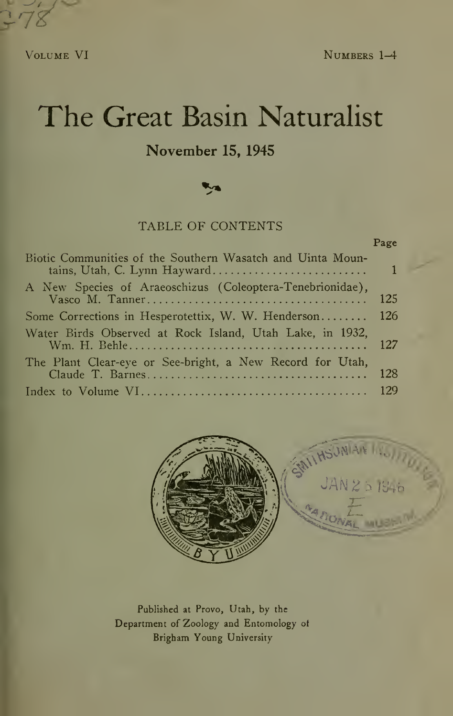$3.78$ 

VOLUME VI NUMBERS 1-4

Page

# The Great Basin Naturalist

### November 15, 1945

### TABLE OF CONTENTS

| Biotic Communities of the Southern Wasatch and Uinta Moun- |  |
|------------------------------------------------------------|--|
| A New Species of Araeoschizus (Coleoptera-Tenebrionidae),  |  |
| Some Corrections in Hesperotettix, W. W. Henderson 126     |  |
| Water Birds Observed at Rock Island, Utah Lake, in 1932,   |  |
| The Plant Clear-eye or See-bright, a New Record for Utah,  |  |
|                                                            |  |



Published at Provo, Utah, by the Department of Zoology and Entomology of Brigham Young University